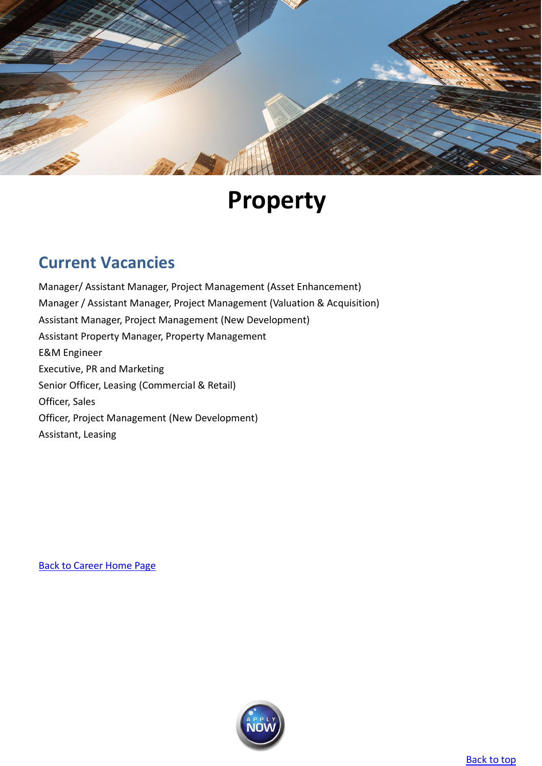<span id="page-0-0"></span>

# **Property**

# **Current Vacancies**

[Manager/ Assistant Manager, Project Management \(Asset Enhancement\)](#page-1-0) [Manager / Assistant Manager, Project Management \(Valuation & Acquisition\)](#page-2-0) [Assistant Manager, Project Management \(New Development\)](#page-3-0) [Assistant Property Manager, Property Management](#page-4-0) [E&M Engineer](#page-5-0) [Executive, PR and Marketing](#page-6-0) [Senior Officer, Leasing](#page-7-0) [\(Commercial & Retail\)](#page-7-1) [Officer, Sales](#page-8-0) [Officer, Project Management](#page-9-0) [\(New Development\)](#page-9-1) [Assistant, Leasing](#page-10-0)

[Back to Career Home](http://www.emperorgroup.com/en/work-with-us/) Page

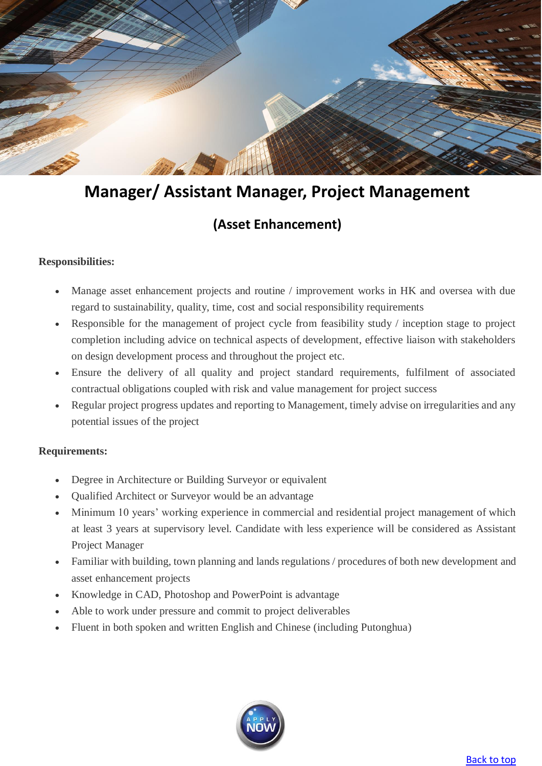

# <span id="page-1-0"></span>**Manager/ Assistant Manager, Project Management**

### **(Asset Enhancement)**

### **Responsibilities:**

- Manage asset enhancement projects and routine / improvement works in HK and oversea with due regard to sustainability, quality, time, cost and social responsibility requirements
- Responsible for the management of project cycle from feasibility study / inception stage to project completion including advice on technical aspects of development, effective liaison with stakeholders on design development process and throughout the project etc.
- Ensure the delivery of all quality and project standard requirements, fulfilment of associated contractual obligations coupled with risk and value management for project success
- Regular project progress updates and reporting to Management, timely advise on irregularities and any potential issues of the project

- Degree in Architecture or Building Surveyor or equivalent
- Qualified Architect or Surveyor would be an advantage
- Minimum 10 years' working experience in commercial and residential project management of which at least 3 years at supervisory level. Candidate with less experience will be considered as Assistant Project Manager
- Familiar with building, town planning and lands regulations / procedures of both new development and asset enhancement projects
- Knowledge in CAD, Photoshop and PowerPoint is advantage
- Able to work under pressure and commit to project deliverables
- Fluent in both spoken and written English and Chinese (including Putonghua)

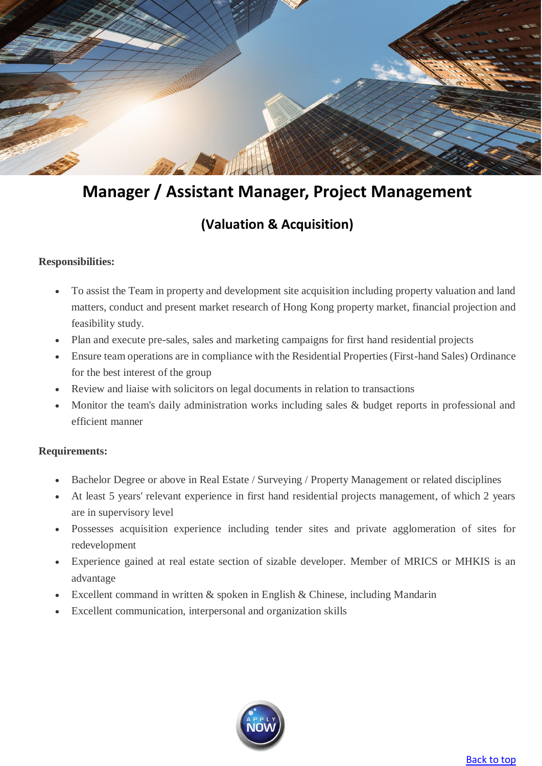

# <span id="page-2-0"></span>**Manager / Assistant Manager, Project Management**

### **(Valuation & Acquisition)**

### **Responsibilities:**

- To assist the Team in property and development site acquisition including property valuation and land matters, conduct and present market research of Hong Kong property market, financial projection and feasibility study.
- Plan and execute pre-sales, sales and marketing campaigns for first hand residential projects
- Ensure team operations are in compliance with the Residential Properties (First-hand Sales) Ordinance for the best interest of the group
- Review and liaise with solicitors on legal documents in relation to transactions
- Monitor the team's daily administration works including sales & budget reports in professional and efficient manner

- Bachelor Degree or above in Real Estate / Surveying / Property Management or related disciplines
- At least 5 years' relevant experience in first hand residential projects management, of which 2 years are in supervisory level
- Possesses acquisition experience including tender sites and private agglomeration of sites for redevelopment
- Experience gained at real estate section of sizable developer. Member of MRICS or MHKIS is an advantage
- Excellent command in written & spoken in English & Chinese, including Mandarin
- Excellent communication, interpersonal and organization skills

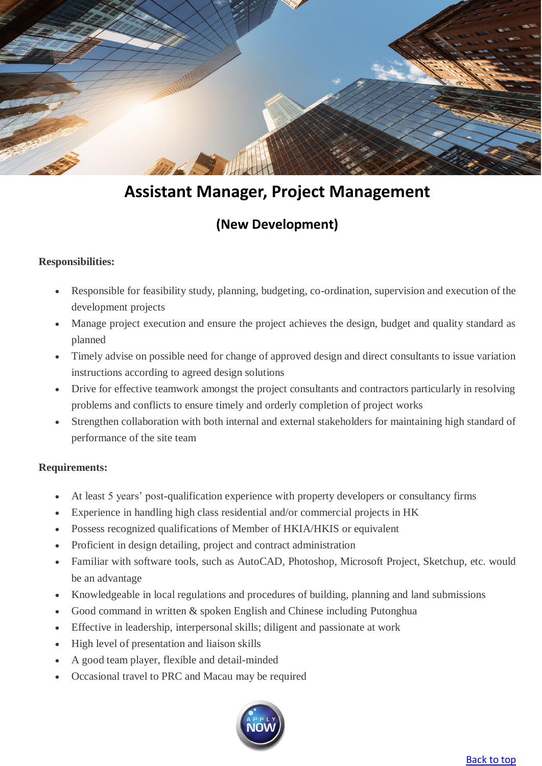

# **Assistant Manager, Project Management**

### **(New Development)**

### <span id="page-3-0"></span>**Responsibilities:**

- Responsible for feasibility study, planning, budgeting, co-ordination, supervision and execution of the development projects
- Manage project execution and ensure the project achieves the design, budget and quality standard as planned
- Timely advise on possible need for change of approved design and direct consultants to issue variation instructions according to agreed design solutions
- Drive for effective teamwork amongst the project consultants and contractors particularly in resolving problems and conflicts to ensure timely and orderly completion of project works
- Strengthen collaboration with both internal and external stakeholders for maintaining high standard of performance of the site team

- At least 5 years' post-qualification experience with property developers or consultancy firms
- Experience in handling high class residential and/or commercial projects in HK
- Possess recognized qualifications of Member of HKIA/HKIS or equivalent
- Proficient in design detailing, project and contract administration
- Familiar with software tools, such as AutoCAD, Photoshop, Microsoft Project, Sketchup, etc. would be an advantage
- Knowledgeable in local regulations and procedures of building, planning and land submissions
- Good command in written & spoken English and Chinese including Putonghua
- Effective in leadership, interpersonal skills; diligent and passionate at work
- High level of presentation and liaison skills
- A good team player, flexible and detail-minded
- Occasional travel to PRC and Macau may be required

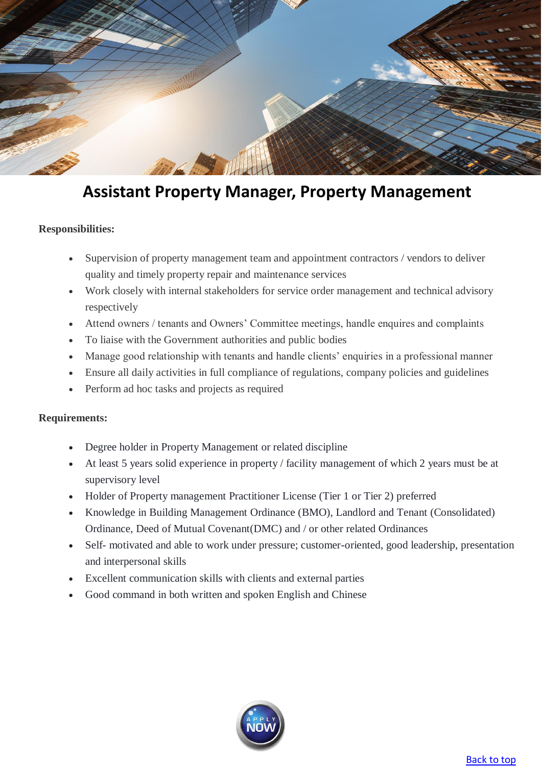

### <span id="page-4-0"></span>**Assistant Property Manager, Property Management**

#### **Responsibilities:**

- Supervision of property management team and appointment contractors / vendors to deliver quality and timely property repair and maintenance services
- Work closely with internal stakeholders for service order management and technical advisory respectively
- Attend owners / tenants and Owners' Committee meetings, handle enquires and complaints
- To liaise with the Government authorities and public bodies
- Manage good relationship with tenants and handle clients' enquiries in a professional manner
- Ensure all daily activities in full compliance of regulations, company policies and guidelines
- Perform ad hoc tasks and projects as required

- Degree holder in Property Management or related discipline
- At least 5 years solid experience in property / facility management of which 2 years must be at supervisory level
- Holder of Property management Practitioner License (Tier 1 or Tier 2) preferred
- Knowledge in Building Management Ordinance (BMO), Landlord and Tenant (Consolidated) Ordinance, Deed of Mutual Covenant(DMC) and / or other related Ordinances
- Self- motivated and able to work under pressure; customer-oriented, good leadership, presentation and interpersonal skills
- Excellent communication skills with clients and external parties
- Good command in both written and spoken English and Chinese

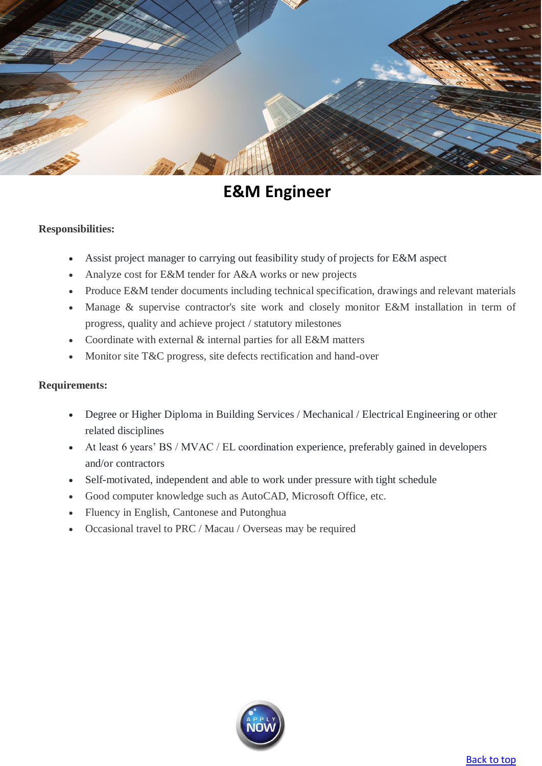

# **E&M Engineer**

### <span id="page-5-0"></span>**Responsibilities:**

- Assist project manager to carrying out feasibility study of projects for E&M aspect
- Analyze cost for E&M tender for A&A works or new projects
- Produce E&M tender documents including technical specification, drawings and relevant materials
- Manage & supervise contractor's site work and closely monitor E&M installation in term of progress, quality and achieve project / statutory milestones
- Coordinate with external & internal parties for all E&M matters
- Monitor site T&C progress, site defects rectification and hand-over

- Degree or Higher Diploma in Building Services / Mechanical / Electrical Engineering or other related disciplines
- At least 6 years' BS / MVAC / EL coordination experience, preferably gained in developers and/or contractors
- Self-motivated, independent and able to work under pressure with tight schedule
- Good computer knowledge such as AutoCAD, Microsoft Office, etc.
- Fluency in English, Cantonese and Putonghua
- Occasional travel to PRC / Macau / Overseas may be required

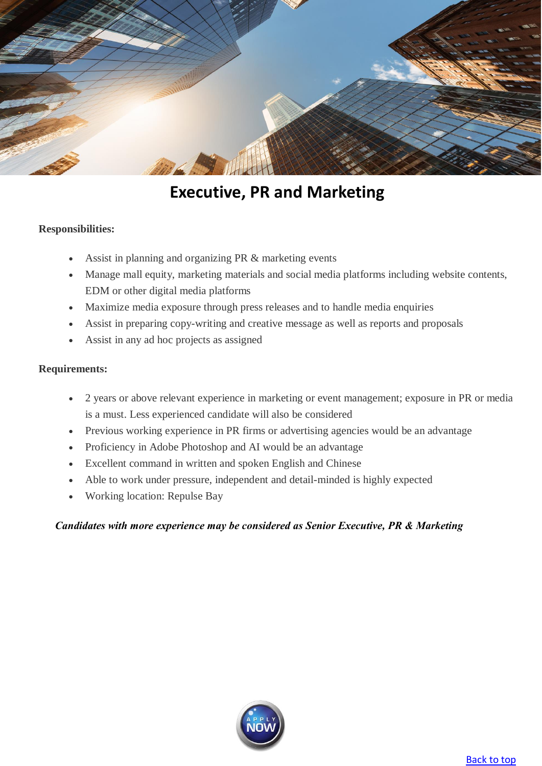

### **Executive, PR and Marketing**

#### <span id="page-6-0"></span>**Responsibilities:**

- Assist in planning and organizing PR & marketing events
- Manage mall equity, marketing materials and social media platforms including website contents, EDM or other digital media platforms
- Maximize media exposure through press releases and to handle media enquiries
- Assist in preparing copy-writing and creative message as well as reports and proposals
- Assist in any ad hoc projects as assigned

#### **Requirements:**

- 2 years or above relevant experience in marketing or event management; exposure in PR or media is a must. Less experienced candidate will also be considered
- Previous working experience in PR firms or advertising agencies would be an advantage
- Proficiency in Adobe Photoshop and AI would be an advantage
- Excellent command in written and spoken English and Chinese
- Able to work under pressure, independent and detail-minded is highly expected
- Working location: Repulse Bay

#### *Candidates with more experience may be considered as Senior Executive, PR & Marketing*

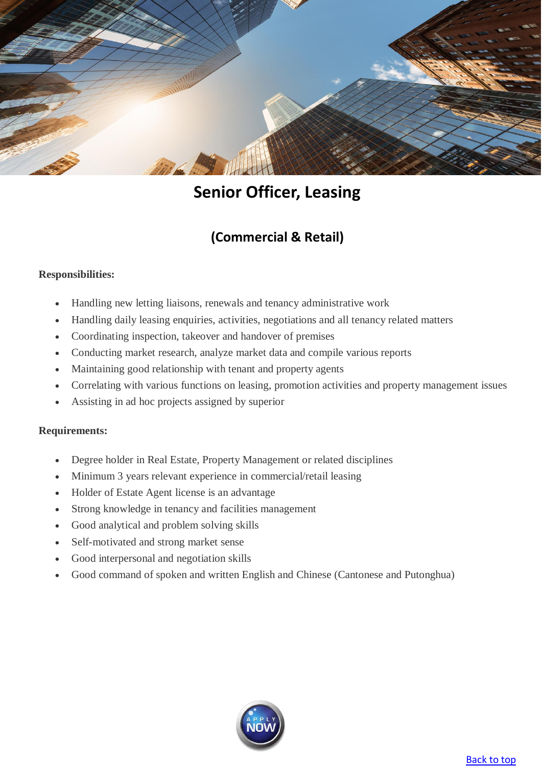

### **Senior Officer, Leasing**

### **(Commercial & Retail)**

### <span id="page-7-1"></span><span id="page-7-0"></span>**Responsibilities:**

- Handling new letting liaisons, renewals and tenancy administrative work
- Handling daily leasing enquiries, activities, negotiations and all tenancy related matters
- Coordinating inspection, takeover and handover of premises
- Conducting market research, analyze market data and compile various reports
- Maintaining good relationship with tenant and property agents
- Correlating with various functions on leasing, promotion activities and property management issues
- Assisting in ad hoc projects assigned by superior

- Degree holder in Real Estate, Property Management or related disciplines
- Minimum 3 years relevant experience in commercial/retail leasing
- Holder of Estate Agent license is an advantage
- Strong knowledge in tenancy and facilities management
- Good analytical and problem solving skills
- Self-motivated and strong market sense
- Good interpersonal and negotiation skills
- Good command of spoken and written English and Chinese (Cantonese and Putonghua)

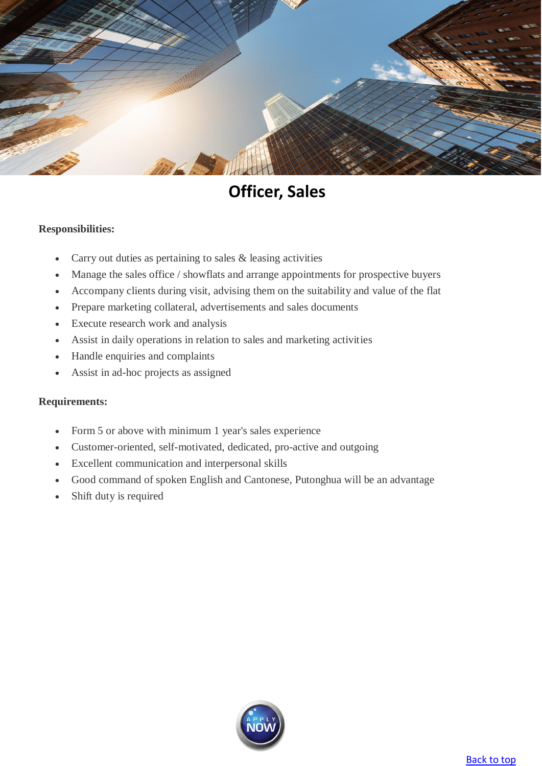

### **Officer, Sales**

#### <span id="page-8-0"></span>**Responsibilities:**

- Carry out duties as pertaining to sales & leasing activities
- Manage the sales office / showflats and arrange appointments for prospective buyers
- Accompany clients during visit, advising them on the suitability and value of the flat
- Prepare marketing collateral, advertisements and sales documents
- Execute research work and analysis
- Assist in daily operations in relation to sales and marketing activities
- Handle enquiries and complaints
- Assist in ad-hoc projects as assigned

- Form 5 or above with minimum 1 year's sales experience
- Customer-oriented, self-motivated, dedicated, pro-active and outgoing
- Excellent communication and interpersonal skills
- Good command of spoken English and Cantonese, Putonghua will be an advantage
- Shift duty is required

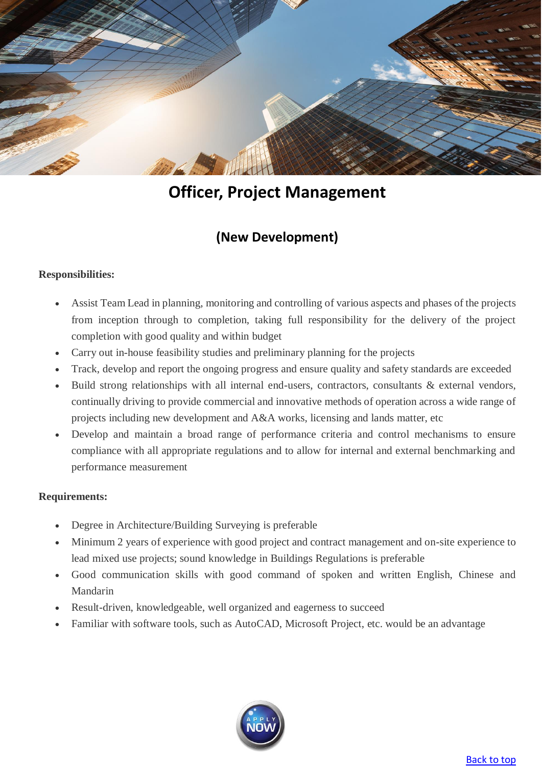

# **Officer, Project Management**

### **(New Development)**

### <span id="page-9-1"></span><span id="page-9-0"></span>**Responsibilities:**

- Assist Team Lead in planning, monitoring and controlling of various aspects and phases of the projects from inception through to completion, taking full responsibility for the delivery of the project completion with good quality and within budget
- Carry out in-house feasibility studies and preliminary planning for the projects
- Track, develop and report the ongoing progress and ensure quality and safety standards are exceeded
- Build strong relationships with all internal end-users, contractors, consultants & external vendors, continually driving to provide commercial and innovative methods of operation across a wide range of projects including new development and A&A works, licensing and lands matter, etc
- Develop and maintain a broad range of performance criteria and control mechanisms to ensure compliance with all appropriate regulations and to allow for internal and external benchmarking and performance measurement

- Degree in Architecture/Building Surveying is preferable
- Minimum 2 years of experience with good project and contract management and on-site experience to lead mixed use projects; sound knowledge in Buildings Regulations is preferable
- Good communication skills with good command of spoken and written English, Chinese and Mandarin
- Result-driven, knowledgeable, well organized and eagerness to succeed
- Familiar with software tools, such as AutoCAD, Microsoft Project, etc. would be an advantage